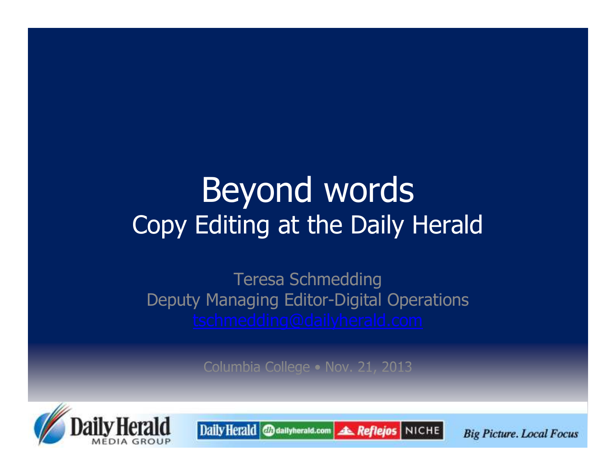## Beyond wordsCopy Editing at the Daily Herald

Teresa Schmedding Deputy Managing Editor-Digital Operations

Columbia College • Nov. 21, 2013



Daily Herald @dailyherald.com **A Reflejos** NICHE

**Big Picture. Local Focus**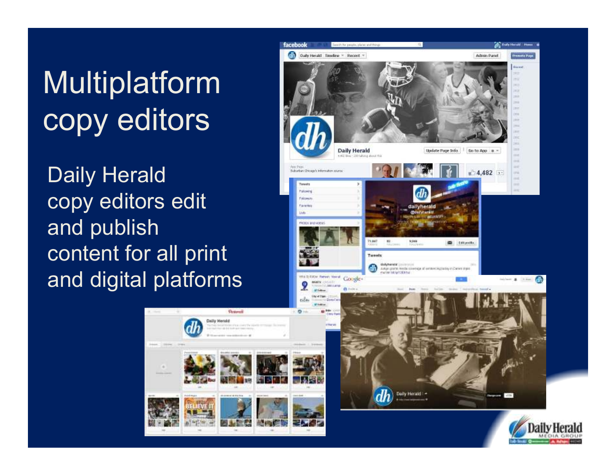# Multiplatform copy editors

Daily Herald copy editors editand publish content for all print and digital platforms

**Collo Hersid** 

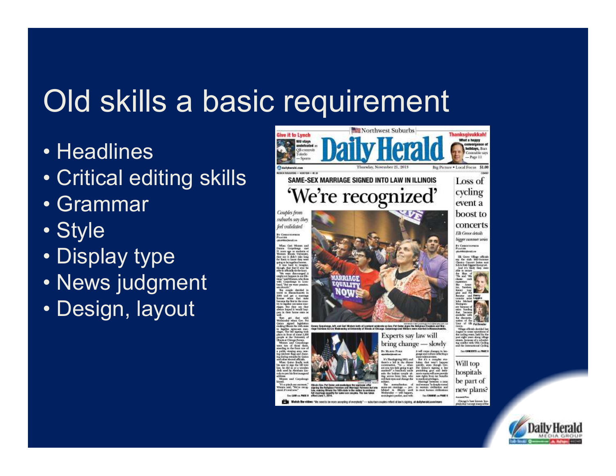## Old skills a basic requirement

- Headlines<br>• Critical ed
- Critical editing skills
- Grammar<br>• Stale
- Style<br>• Dierl
- Display type
- News judgment
- Design, layout

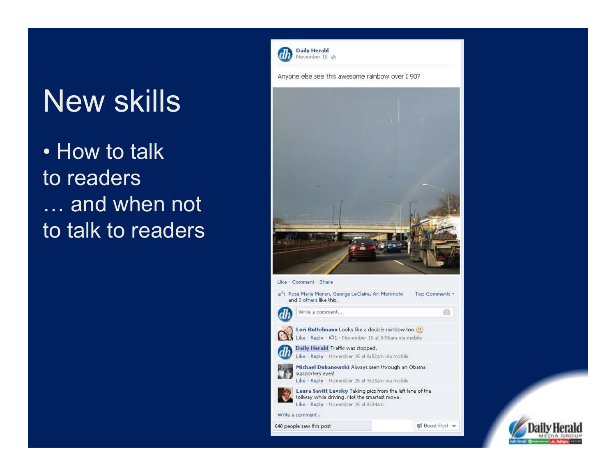## New skills

### • How to talk<br>to readers to readers… and when not<br>'s talk to readers to talk to readers



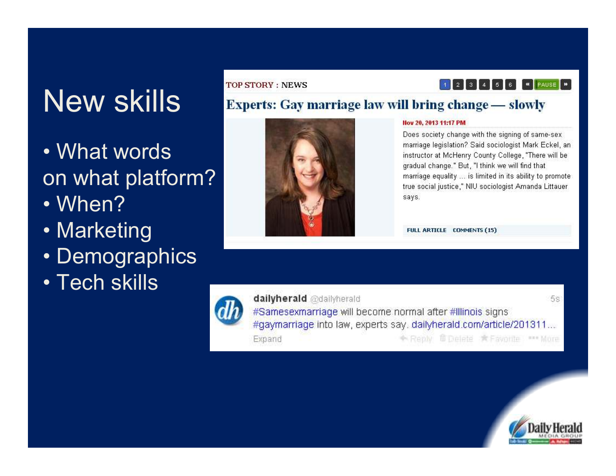## New skills

- What words<br>esturbet reletfe on what platform?
- When?<br>· Market
- Marketing
- Demographics<br>· Tash akilla
- Tech skills

#### **TOP STORY: NEWS**

#### PAUSE<sup>N</sup>  $\mathbf{M}$

#### **Experts: Gay marriage law will bring change — slowly**



#### Nov 20, 2013 11:17 PM

Does society change with the signing of same-sex marriage legislation? Said sociologist Mark Eckel, an instructor at McHenry County College, "There will be gradual change." But, "I think we will find that marriage equality ... is limited in its ability to promote. true social justice," NIU sociologist Amanda Littauer. says.

FULL ARTICLE COMMENTS (15)



dailyherald @dailyherald 58. #Samesexmarriage will become normal after #Illinois signs #gaymarriage into law, experts say, dailyherald.com/article/201311... ◆ Reply Ⅲ Delete ★ Favorite - More Expand

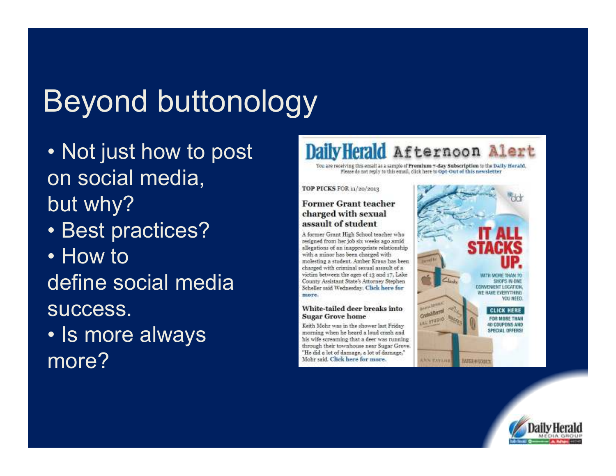# Beyond buttonology

• Not just how to post on social media, but why?

- Best practices?
- How to

define social mediasuccess.

• Is more always<br>.......? more?

Daily Herald Afternoon Alert

You are receiving this email as a sample of Premium 7-day Subscription to the Daily Herald. Please do not reply to this email, click here to Opt-Out of this newsletter

ANN ENVERS

TOP PICKS FOR 11/20/2013

#### **Former Grant teacher** charged with sexual assault of student

A former Grant High School teacher who resigned from her job six weeks ago amid allegations of an inappropriate relationship with a minor has been charged with molesting a student. Amber Kraus has been charged with criminal sexual assault of a victim between the ages of 13 and 17, Lake County Assistant State's Attorney Stephen Scheller said Wednesday. Click here for more.

#### White-tailed deer breaks into **Sugar Grove home**

Keith Mohr was in the shower last Friday. morning when he heard a loud crash and his wife screaming that a deer was running through their townhouse near Sugar Grove. "He did a lot of damage, a lot of damage," Mohr said. Click here for more.



WEE+south

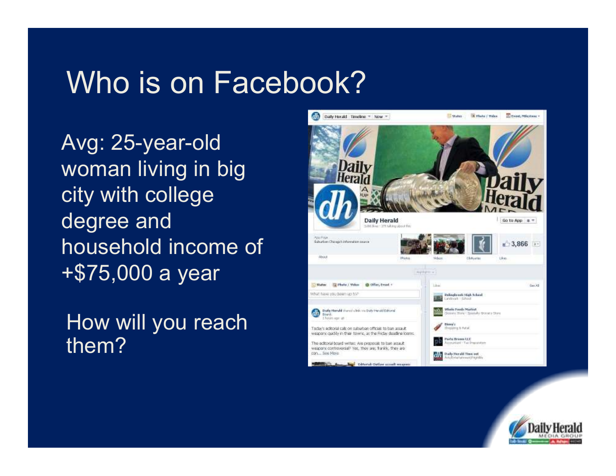### Who is on Facebook?

Avg: 25-year-old woman living in big city with college degree and household income of +\$75,000 a year



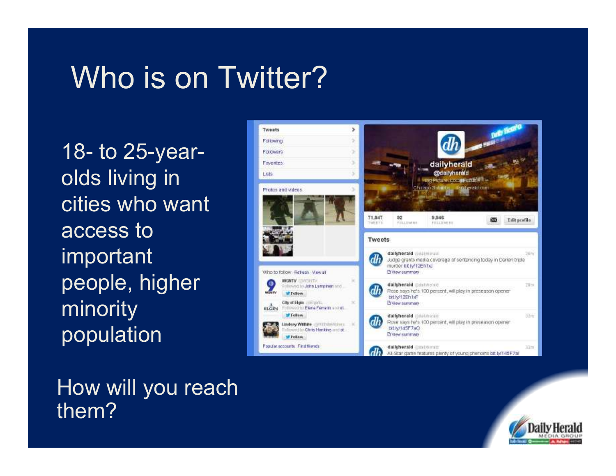### Who is on Twitter?

18- to 25-yearolds living in cities who want access to important people, higher minority population



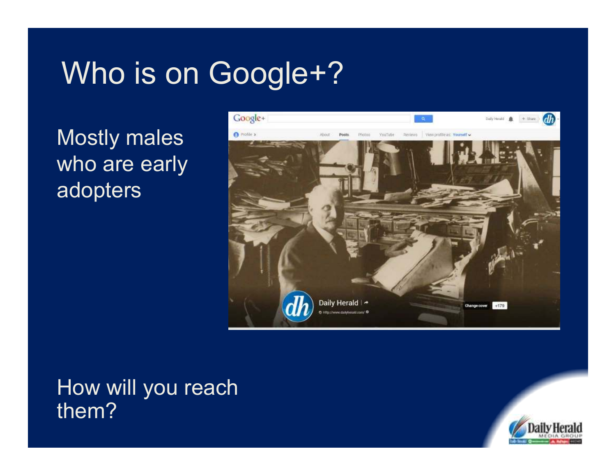### Who is on Google+?

Mostly males who are early adopters



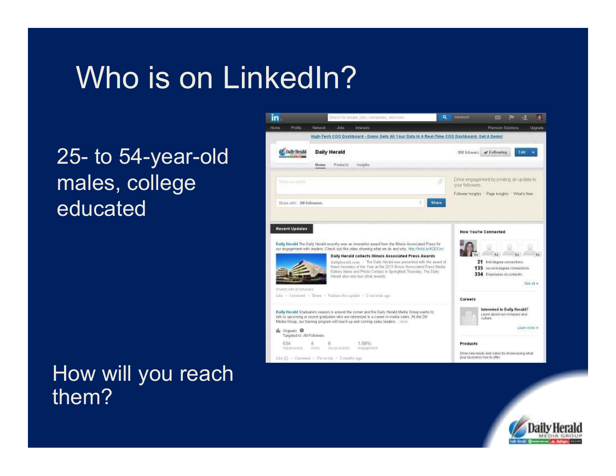### Who is on LinkedIn?

25- to 54-year-old males, college educated



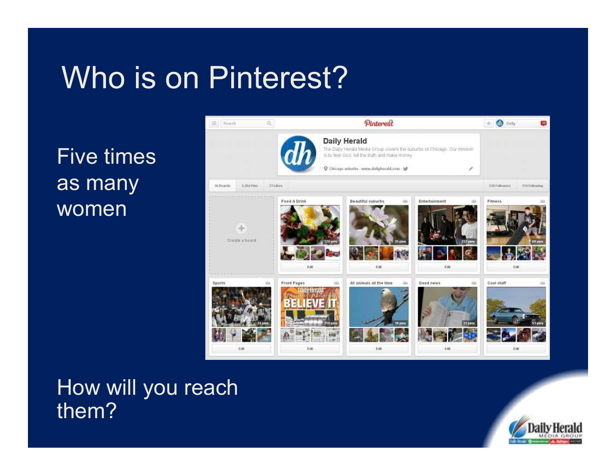## Who is on Pinterest?

Five times as many women



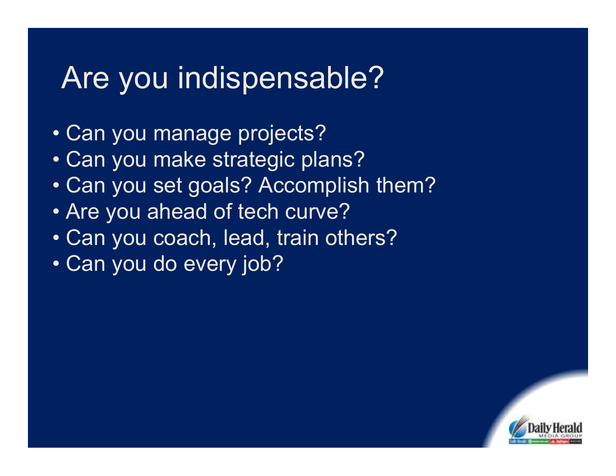### Are you indispensable?

- Can you manage projects?
- Can you make strategic plans?<br>. Can vou est gesle? Assemnlish
- Can you set goals? Accomplish them?<br>. Are you ahood of took awrus?
- Are you ahead of tech curve?<br>… Can veu sesseb less! train att
- Can you coach, lead, train others?<br>. Can you de eventiele?
- Can you do every job?